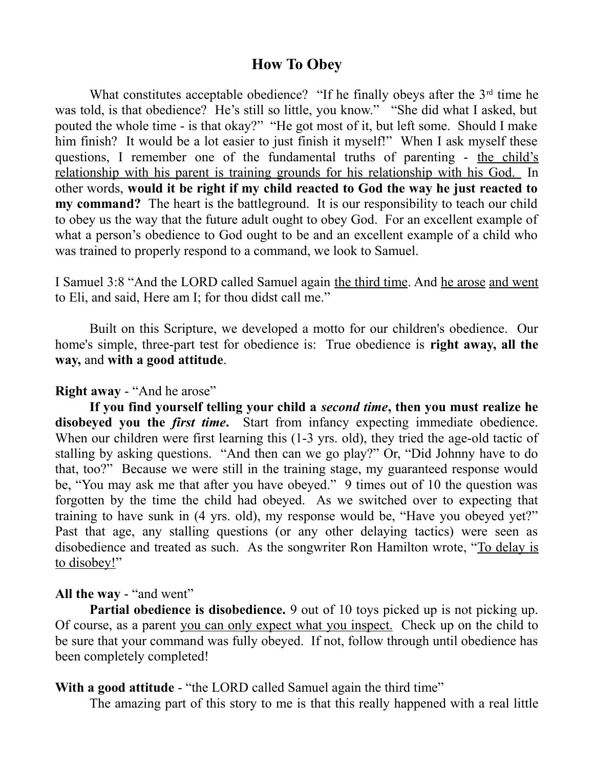## **How To Obey**

What constitutes acceptable obedience? "If he finally obeys after the  $3<sup>rd</sup>$  time he was told, is that obedience? He's still so little, you know." "She did what I asked, but pouted the whole time - is that okay?" "He got most of it, but left some. Should I make him finish? It would be a lot easier to just finish it myself!" When I ask myself these questions, I remember one of the fundamental truths of parenting - the child's relationship with his parent is training grounds for his relationship with his God. In other words, **would it be right if my child reacted to God the way he just reacted to my command?** The heart is the battleground. It is our responsibility to teach our child to obey us the way that the future adult ought to obey God. For an excellent example of what a person's obedience to God ought to be and an excellent example of a child who was trained to properly respond to a command, we look to Samuel.

I Samuel 3:8 "And the LORD called Samuel again the third time. And he arose and went to Eli, and said, Here am I; for thou didst call me."

Built on this Scripture, we developed a motto for our children's obedience. Our home's simple, three-part test for obedience is: True obedience is **right away, all the way,** and **with a good attitude**.

## **Right away** - "And he arose"

**If you find yourself telling your child a** *second time***, then you must realize he disobeyed you the** *first time***.** Start from infancy expecting immediate obedience. When our children were first learning this (1-3 yrs. old), they tried the age-old tactic of stalling by asking questions. "And then can we go play?" Or, "Did Johnny have to do that, too?" Because we were still in the training stage, my guaranteed response would be, "You may ask me that after you have obeyed." 9 times out of 10 the question was forgotten by the time the child had obeyed. As we switched over to expecting that training to have sunk in (4 yrs. old), my response would be, "Have you obeyed yet?" Past that age, any stalling questions (or any other delaying tactics) were seen as disobedience and treated as such. As the songwriter Ron Hamilton wrote, "To delay is to disobey!"

## **All the way** - "and went"

**Partial obedience is disobedience.** 9 out of 10 toys picked up is not picking up. Of course, as a parent you can only expect what you inspect. Check up on the child to be sure that your command was fully obeyed. If not, follow through until obedience has been completely completed!

## **With a good attitude** - "the LORD called Samuel again the third time"

The amazing part of this story to me is that this really happened with a real little